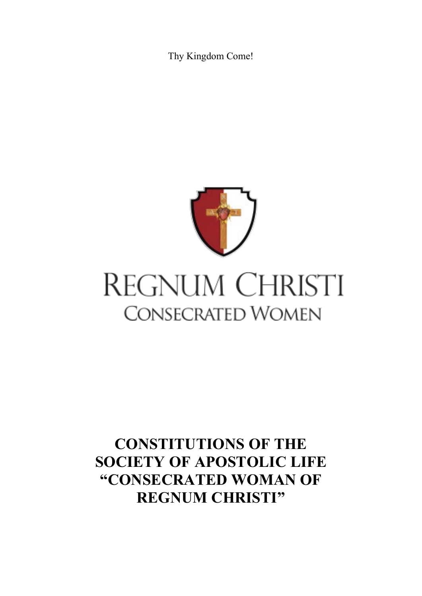Thy Kingdom Come!



# REGNUM CHRISTI **CONSECRATED WOMEN**

## **CONSTITUTIONS OF THE SOCIETY OF APOSTOLIC LIFE "CONSECRATED WOMAN OF REGNUM CHRISTI"**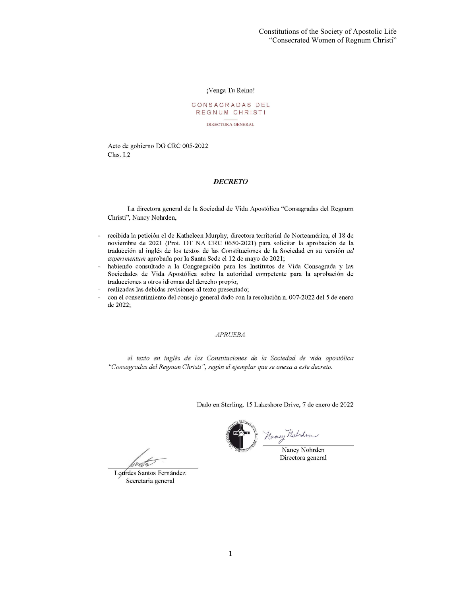¡Venga Tu Reino!

#### CONSAGRADAS DEL REGNUM CHRISTI

DIRECTORA GENERAL

Acto de gobierno DG CRC 005-2022 Clas. I.2

#### **DECRETO**

La directora general de la Sociedad de Vida Apostólica "Consagradas del Regnum Christi", Nancy Nohrden,

- recibida la petición el de Katheleen Murphy, directora territorial de Norteamérica, el 18 de  $\overline{a}$ noviembre de 2021 (Prot. DT NA CRC 0650-2021) para solicitar la aprobación de la traducción al inglés de los textos de las Constituciones de la Sociedad en su versión ad experimentum aprobada por la Santa Sede el 12 de mayo de 2021;
- habiendo consultado a la Congregación para los Institutos de Vida Consagrada y las Sociedades de Vida Apostólica sobre la autoridad competente para la aprobación de traducciones a otros idiomas del derecho propio;
- realizadas las debidas revisiones al texto presentado;
- con el consentimiento del consejo general dado con la resolución n. 007-2022 del 5 de enero  $\overline{a}$ de 2022,

#### **APRUEBA**

el texto en inglés de las Constituciones de la Sociedad de vida apostólica "Consagradas del Regnum Christi", según el ejemplar que se anexa a este decreto.

Dado en Sterling, 15 Lakeshore Drive, 7 de enero de 2022



Nancy Notuber

Directora general

mito Lourdes Santos Fernández

Secretaria general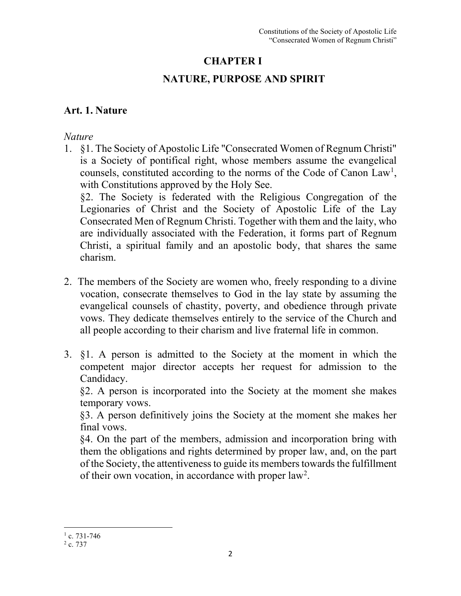## **CHAPTER I**

## **NATURE, PURPOSE AND SPIRIT**

## **Art. 1. Nature**

### *Nature*

- 1. §1. The Society of Apostolic Life "Consecrated Women of Regnum Christi" is a Society of pontifical right, whose members assume the evangelical counsels, constituted according to the norms of the Code of Canon Law<sup>[1](#page-2-0)</sup>, with Constitutions approved by the Holy See. §2. The Society is federated with the Religious Congregation of the Legionaries of Christ and the Society of Apostolic Life of the Lay Consecrated Men of Regnum Christi. Together with them and the laity, who are individually associated with the Federation, it forms part of Regnum Christi, a spiritual family and an apostolic body, that shares the same
	- charism.
- 2. The members of the Society are women who, freely responding to a divine vocation, consecrate themselves to God in the lay state by assuming the evangelical counsels of chastity, poverty, and obedience through private vows. They dedicate themselves entirely to the service of the Church and all people according to their charism and live fraternal life in common.
- 3. §1. A person is admitted to the Society at the moment in which the competent major director accepts her request for admission to the Candidacy.

 §2. A person is incorporated into the Society at the moment she makes temporary vows.

 §3. A person definitively joins the Society at the moment she makes her final vows.

 §4. On the part of the members, admission and incorporation bring with them the obligations and rights determined by proper law, and, on the part of the Society, the attentivenessto guide its members towards the fulfillment of their own vocation, in accordance with proper law<sup>[2](#page-2-1)</sup>.

 $1$  c. 731-746

<span id="page-2-1"></span><span id="page-2-0"></span> $2c.737$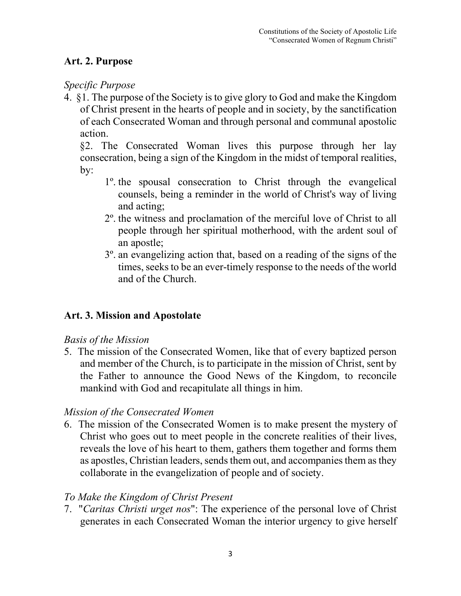## **Art. 2. Purpose**

## *Specific Purpose*

4. §1. The purpose of the Society is to give glory to God and make the Kingdom of Christ present in the hearts of people and in society, by the sanctification of each Consecrated Woman and through personal and communal apostolic action.

 §2. The Consecrated Woman lives this purpose through her lay consecration, being a sign of the Kingdom in the midst of temporal realities, by:

- 1º. the spousal consecration to Christ through the evangelical counsels, being a reminder in the world of Christ's way of living and acting;
- 2º. the witness and proclamation of the merciful love of Christ to all people through her spiritual motherhood, with the ardent soul of an apostle;
- 3º. an evangelizing action that, based on a reading of the signs of the times, seeks to be an ever-timely response to the needs of the world and of the Church.

## **Art. 3. Mission and Apostolate**

### *Basis of the Mission*

5. The mission of the Consecrated Women, like that of every baptized person and member of the Church, is to participate in the mission of Christ, sent by the Father to announce the Good News of the Kingdom, to reconcile mankind with God and recapitulate all things in him.

### *Mission of the Consecrated Women*

6. The mission of the Consecrated Women is to make present the mystery of Christ who goes out to meet people in the concrete realities of their lives, reveals the love of his heart to them, gathers them together and forms them as apostles, Christian leaders, sends them out, and accompanies them as they collaborate in the evangelization of people and of society.

### *To Make the Kingdom of Christ Present*

7. "*Caritas Christi urget nos*": The experience of the personal love of Christ generates in each Consecrated Woman the interior urgency to give herself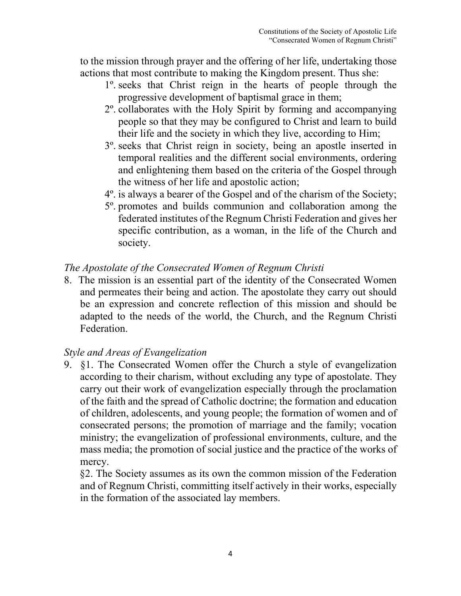to the mission through prayer and the offering of her life, undertaking those actions that most contribute to making the Kingdom present. Thus she:

- 1º. seeks that Christ reign in the hearts of people through the progressive development of baptismal grace in them;
- 2º. collaborates with the Holy Spirit by forming and accompanying people so that they may be configured to Christ and learn to build their life and the society in which they live, according to Him;
- 3º. seeks that Christ reign in society, being an apostle inserted in temporal realities and the different social environments, ordering and enlightening them based on the criteria of the Gospel through the witness of her life and apostolic action;
- 4º. is always a bearer of the Gospel and of the charism of the Society;
- 5º. promotes and builds communion and collaboration among the federated institutes of the Regnum Christi Federation and gives her specific contribution, as a woman, in the life of the Church and society.

#### *The Apostolate of the Consecrated Women of Regnum Christi*

8. The mission is an essential part of the identity of the Consecrated Women and permeates their being and action. The apostolate they carry out should be an expression and concrete reflection of this mission and should be adapted to the needs of the world, the Church, and the Regnum Christi Federation.

#### *Style and Areas of Evangelization*

9. §1. The Consecrated Women offer the Church a style of evangelization according to their charism, without excluding any type of apostolate. They carry out their work of evangelization especially through the proclamation of the faith and the spread of Catholic doctrine; the formation and education of children, adolescents, and young people; the formation of women and of consecrated persons; the promotion of marriage and the family; vocation ministry; the evangelization of professional environments, culture, and the mass media; the promotion of social justice and the practice of the works of mercy.

 §2. The Society assumes as its own the common mission of the Federation and of Regnum Christi, committing itself actively in their works, especially in the formation of the associated lay members.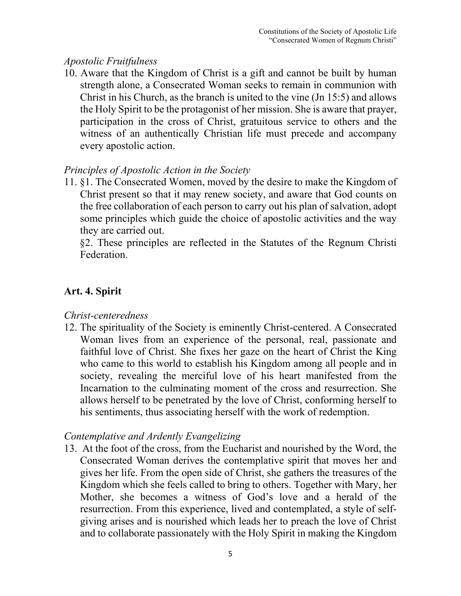#### *Apostolic Fruitfulness*

10. Aware that the Kingdom of Christ is a gift and cannot be built by human strength alone, a Consecrated Woman seeks to remain in communion with Christ in his Church, as the branch is united to the vine (Jn 15:5) and allows the Holy Spirit to be the protagonist of her mission. She is aware that prayer, participation in the cross of Christ, gratuitous service to others and the witness of an authentically Christian life must precede and accompany every apostolic action.

### *Principles of Apostolic Action in the Society*

11. §1. The Consecrated Women, moved by the desire to make the Kingdom of Christ present so that it may renew society, and aware that God counts on the free collaboration of each person to carry out his plan of salvation, adopt some principles which guide the choice of apostolic activities and the way they are carried out.

 §2. These principles are reflected in the Statutes of the Regnum Christi Federation.

## **Art. 4. Spirit**

### *Christ-centeredness*

12. The spirituality of the Society is eminently Christ-centered. A Consecrated Woman lives from an experience of the personal, real, passionate and faithful love of Christ. She fixes her gaze on the heart of Christ the King who came to this world to establish his Kingdom among all people and in society, revealing the merciful love of his heart manifested from the Incarnation to the culminating moment of the cross and resurrection. She allows herself to be penetrated by the love of Christ, conforming herself to his sentiments, thus associating herself with the work of redemption.

## *Contemplative and Ardently Evangelizing*

13. At the foot of the cross, from the Eucharist and nourished by the Word, the Consecrated Woman derives the contemplative spirit that moves her and gives her life. From the open side of Christ, she gathers the treasures of the Kingdom which she feels called to bring to others. Together with Mary, her Mother, she becomes a witness of God's love and a herald of the resurrection. From this experience, lived and contemplated, a style of selfgiving arises and is nourished which leads her to preach the love of Christ and to collaborate passionately with the Holy Spirit in making the Kingdom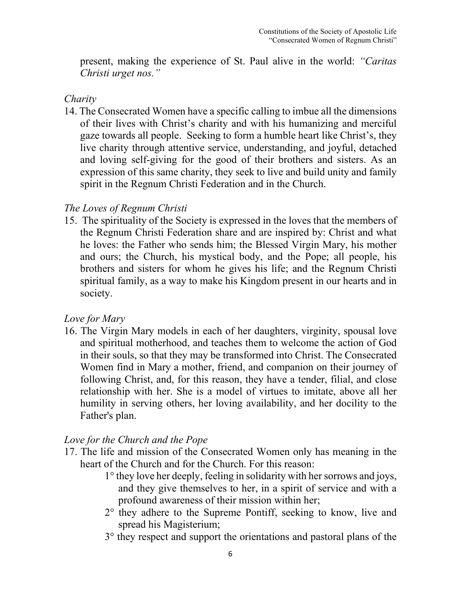present, making the experience of St. Paul alive in the world: *"Caritas Christi urget nos."*

#### *Charity*

14. The Consecrated Women have a specific calling to imbue all the dimensions of their lives with Christ's charity and with his humanizing and merciful gaze towards all people. Seeking to form a humble heart like Christ's, they live charity through attentive service, understanding, and joyful, detached and loving self-giving for the good of their brothers and sisters. As an expression of this same charity, they seek to live and build unity and family spirit in the Regnum Christi Federation and in the Church.

### *The Loves of Regnum Christi*

15. The spirituality of the Society is expressed in the loves that the members of the Regnum Christi Federation share and are inspired by: Christ and what he loves: the Father who sends him; the Blessed Virgin Mary, his mother and ours; the Church, his mystical body, and the Pope; all people, his brothers and sisters for whom he gives his life; and the Regnum Christi spiritual family, as a way to make his Kingdom present in our hearts and in society.

## *Love for Mary*

16. The Virgin Mary models in each of her daughters, virginity, spousal love and spiritual motherhood, and teaches them to welcome the action of God in their souls, so that they may be transformed into Christ. The Consecrated Women find in Mary a mother, friend, and companion on their journey of following Christ, and, for this reason, they have a tender, filial, and close relationship with her. She is a model of virtues to imitate, above all her humility in serving others, her loving availability, and her docility to the Father's plan.

## *Love for the Church and the Pope*

- 17. The life and mission of the Consecrated Women only has meaning in the heart of the Church and for the Church. For this reason:
	- 1° they love her deeply, feeling in solidarity with her sorrows and joys, and they give themselves to her, in a spirit of service and with a profound awareness of their mission within her;
	- 2° they adhere to the Supreme Pontiff, seeking to know, live and spread his Magisterium;
	- 3° they respect and support the orientations and pastoral plans of the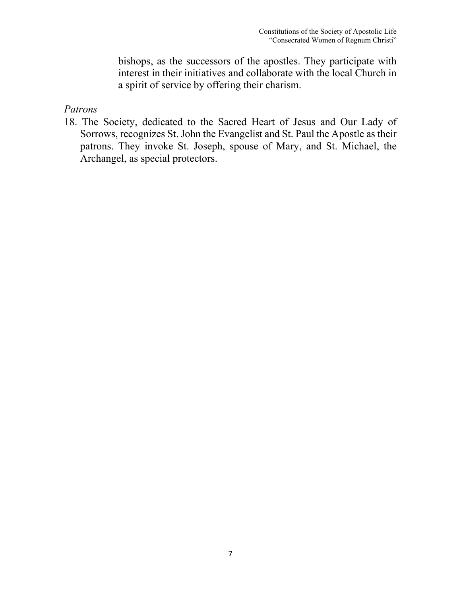bishops, as the successors of the apostles. They participate with interest in their initiatives and collaborate with the local Church in a spirit of service by offering their charism.

*Patrons*

18. The Society, dedicated to the Sacred Heart of Jesus and Our Lady of Sorrows, recognizes St. John the Evangelist and St. Paul the Apostle as their patrons. They invoke St. Joseph, spouse of Mary, and St. Michael, the Archangel, as special protectors.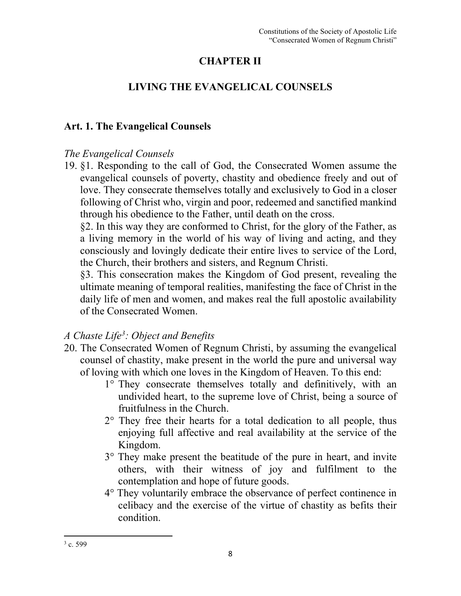## **CHAPTER II**

## **LIVING THE EVANGELICAL COUNSELS**

#### **Art. 1. The Evangelical Counsels**

#### *The Evangelical Counsels*

19. §1. Responding to the call of God, the Consecrated Women assume the evangelical counsels of poverty, chastity and obedience freely and out of love. They consecrate themselves totally and exclusively to God in a closer following of Christ who, virgin and poor, redeemed and sanctified mankind through his obedience to the Father, until death on the cross.

§2. In this way they are conformed to Christ, for the glory of the Father, as a living memory in the world of his way of living and acting, and they consciously and lovingly dedicate their entire lives to service of the Lord, the Church, their brothers and sisters, and Regnum Christi.

§3. This consecration makes the Kingdom of God present, revealing the ultimate meaning of temporal realities, manifesting the face of Christ in the daily life of men and women, and makes real the full apostolic availability of the Consecrated Women.

### *A Chaste Life[3](#page-8-0) : Object and Benefits*

- 20. The Consecrated Women of Regnum Christi, by assuming the evangelical counsel of chastity, make present in the world the pure and universal way of loving with which one loves in the Kingdom of Heaven. To this end:
	- 1° They consecrate themselves totally and definitively, with an undivided heart, to the supreme love of Christ, being a source of fruitfulness in the Church.
	- 2° They free their hearts for a total dedication to all people, thus enjoying full affective and real availability at the service of the Kingdom.
	- 3° They make present the beatitude of the pure in heart, and invite others, with their witness of joy and fulfilment to the contemplation and hope of future goods.
	- 4° They voluntarily embrace the observance of perfect continence in celibacy and the exercise of the virtue of chastity as befits their condition.

<span id="page-8-0"></span> $3$  c. 599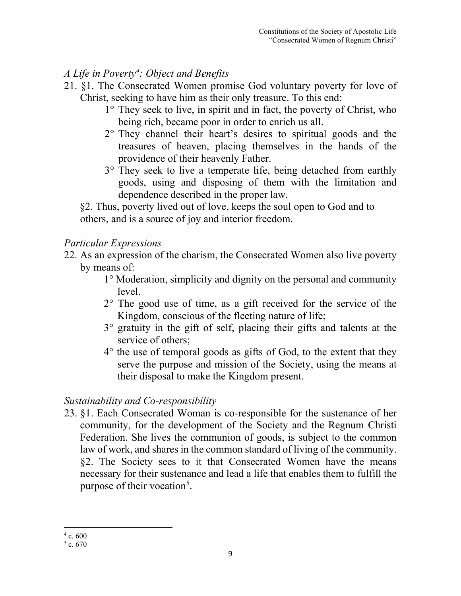## *A Life in Poverty[4](#page-9-0) : Object and Benefits*

- 21. §1. The Consecrated Women promise God voluntary poverty for love of Christ, seeking to have him as their only treasure. To this end:
	- 1° They seek to live, in spirit and in fact, the poverty of Christ, who being rich, became poor in order to enrich us all.
	- 2° They channel their heart's desires to spiritual goods and the treasures of heaven, placing themselves in the hands of the providence of their heavenly Father.
	- 3° They seek to live a temperate life, being detached from earthly goods, using and disposing of them with the limitation and dependence described in the proper law.

 §2. Thus, poverty lived out of love, keeps the soul open to God and to others, and is a source of joy and interior freedom.

## *Particular Expressions*

- 22. As an expression of the charism, the Consecrated Women also live poverty by means of:
	- 1° Moderation, simplicity and dignity on the personal and community level.
	- 2° The good use of time, as a gift received for the service of the Kingdom, conscious of the fleeting nature of life;
	- 3° gratuity in the gift of self, placing their gifts and talents at the service of others;
	- 4° the use of temporal goods as gifts of God, to the extent that they serve the purpose and mission of the Society, using the means at their disposal to make the Kingdom present.

## *Sustainability and Co-responsibility*

23. §1. Each Consecrated Woman is co-responsible for the sustenance of her community, for the development of the Society and the Regnum Christi Federation. She lives the communion of goods, is subject to the common law of work, and shares in the common standard of living of the community. §2. The Society sees to it that Consecrated Women have the means necessary for their sustenance and lead a life that enables them to fulfill the purpose of their vocation<sup>[5](#page-9-1)</sup>.

<span id="page-9-0"></span> $4c.600$ 

<span id="page-9-1"></span> $5 c. 670$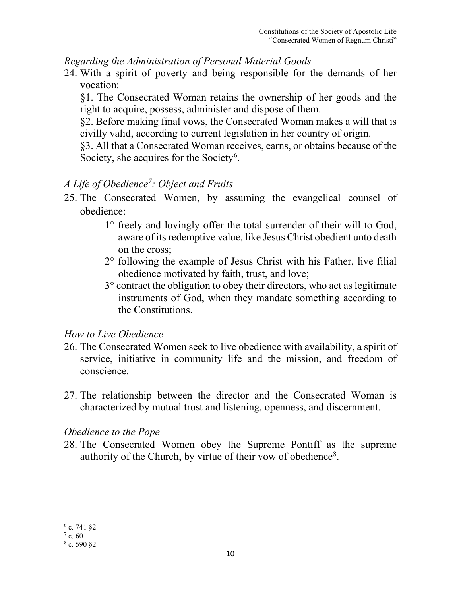#### *Regarding the Administration of Personal Material Goods*

24. With a spirit of poverty and being responsible for the demands of her vocation:

§1. The Consecrated Woman retains the ownership of her goods and the right to acquire, possess, administer and dispose of them.

§2. Before making final vows, the Consecrated Woman makes a will that is civilly valid, according to current legislation in her country of origin.

§3. All that a Consecrated Woman receives, earns, or obtains because of the Society, she acquires for the Society<sup>[6](#page-10-0)</sup>.

## *A Life of Obedience[7](#page-10-1) : Object and Fruits*

- 25. The Consecrated Women, by assuming the evangelical counsel of obedience:
	- 1° freely and lovingly offer the total surrender of their will to God, aware of its redemptive value, like Jesus Christ obedient unto death on the cross;
	- 2° following the example of Jesus Christ with his Father, live filial obedience motivated by faith, trust, and love;
	- 3° contract the obligation to obey their directors, who act as legitimate instruments of God, when they mandate something according to the Constitutions.

### *How to Live Obedience*

- 26. The Consecrated Women seek to live obedience with availability, a spirit of service, initiative in community life and the mission, and freedom of conscience.
- 27. The relationship between the director and the Consecrated Woman is characterized by mutual trust and listening, openness, and discernment.

### *Obedience to the Pope*

28. The Consecrated Women obey the Supreme Pontiff as the supreme authority of the Church, by virtue of their vow of obedience<sup>[8](#page-10-2)</sup>.

<span id="page-10-0"></span> $6$  c. 741 §2

<span id="page-10-1"></span> $7$  c. 601

<span id="page-10-2"></span> $8c.59082$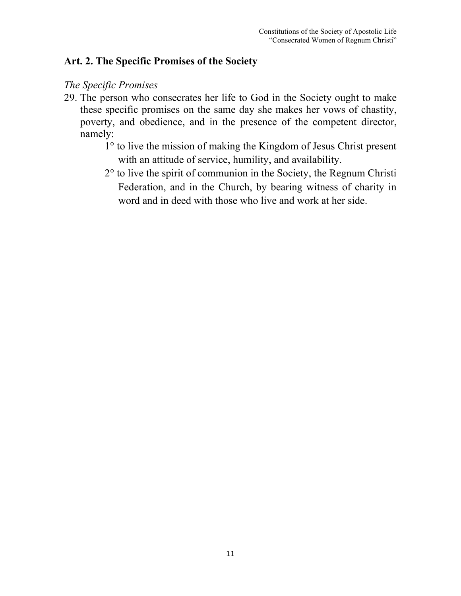#### **Art. 2. The Specific Promises of the Society**

#### *The Specific Promises*

- 29. The person who consecrates her life to God in the Society ought to make these specific promises on the same day she makes her vows of chastity, poverty, and obedience, and in the presence of the competent director, namely:
	- 1° to live the mission of making the Kingdom of Jesus Christ present with an attitude of service, humility, and availability.
	- 2° to live the spirit of communion in the Society, the Regnum Christi Federation, and in the Church, by bearing witness of charity in word and in deed with those who live and work at her side.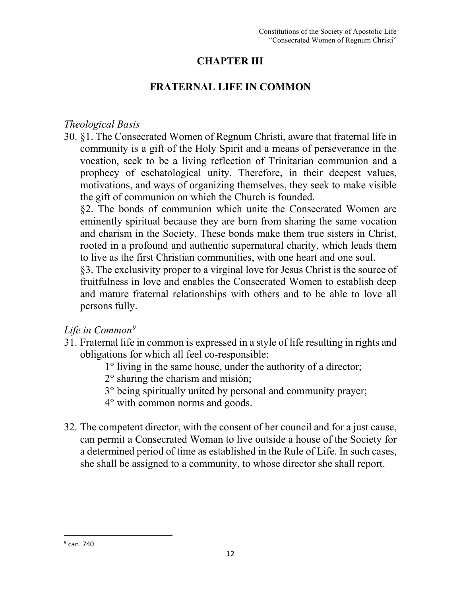## **CHAPTER III**

## **FRATERNAL LIFE IN COMMON**

#### *Theological Basis*

30. §1. The Consecrated Women of Regnum Christi, aware that fraternal life in community is a gift of the Holy Spirit and a means of perseverance in the vocation, seek to be a living reflection of Trinitarian communion and a prophecy of eschatological unity. Therefore, in their deepest values, motivations, and ways of organizing themselves, they seek to make visible the gift of communion on which the Church is founded.

§2. The bonds of communion which unite the Consecrated Women are eminently spiritual because they are born from sharing the same vocation and charism in the Society. These bonds make them true sisters in Christ, rooted in a profound and authentic supernatural charity, which leads them to live as the first Christian communities, with one heart and one soul.

§3. The exclusivity proper to a virginal love for Jesus Christ is the source of fruitfulness in love and enables the Consecrated Women to establish deep and mature fraternal relationships with others and to be able to love all persons fully.

### *Life in Common[9](#page-12-0)*

- 31. Fraternal life in common is expressed in a style of life resulting in rights and obligations for which all feel co-responsible:
	- 1° living in the same house, under the authority of a director;
	- 2° sharing the charism and misión;
	- 3° being spiritually united by personal and community prayer;
	- 4° with common norms and goods.
- 32. The competent director, with the consent of her council and for a just cause, can permit a Consecrated Woman to live outside a house of the Society for a determined period of time as established in the Rule of Life. In such cases, she shall be assigned to a community, to whose director she shall report.

<span id="page-12-0"></span> $9$  can. 740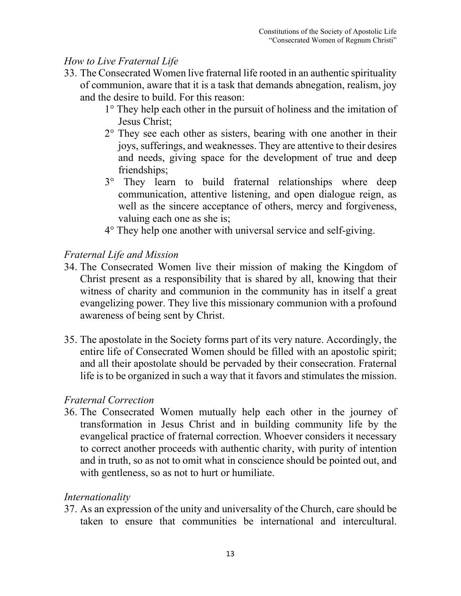## *How to Live Fraternal Life*

- 33. The Consecrated Women live fraternal life rooted in an authentic spirituality of communion, aware that it is a task that demands abnegation, realism, joy and the desire to build. For this reason:
	- 1° They help each other in the pursuit of holiness and the imitation of Jesus Christ;
	- $2^{\circ}$  They see each other as sisters, bearing with one another in their joys, sufferings, and weaknesses. They are attentive to their desires and needs, giving space for the development of true and deep friendships;
	- 3° They learn to build fraternal relationships where deep communication, attentive listening, and open dialogue reign, as well as the sincere acceptance of others, mercy and forgiveness, valuing each one as she is;
	- 4° They help one another with universal service and self-giving.

### *Fraternal Life and Mission*

- 34. The Consecrated Women live their mission of making the Kingdom of Christ present as a responsibility that is shared by all, knowing that their witness of charity and communion in the community has in itself a great evangelizing power. They live this missionary communion with a profound awareness of being sent by Christ.
- 35. The apostolate in the Society forms part of its very nature. Accordingly, the entire life of Consecrated Women should be filled with an apostolic spirit; and all their apostolate should be pervaded by their consecration. Fraternal life is to be organized in such a way that it favors and stimulates the mission.

#### *Fraternal Correction*

36. The Consecrated Women mutually help each other in the journey of transformation in Jesus Christ and in building community life by the evangelical practice of fraternal correction. Whoever considers it necessary to correct another proceeds with authentic charity, with purity of intention and in truth, so as not to omit what in conscience should be pointed out, and with gentleness, so as not to hurt or humiliate.

#### *Internationality*

37. As an expression of the unity and universality of the Church, care should be taken to ensure that communities be international and intercultural.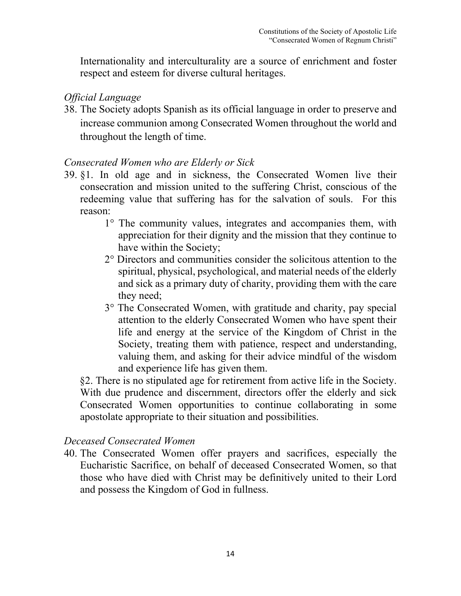Internationality and interculturality are a source of enrichment and foster respect and esteem for diverse cultural heritages.

#### *Official Language*

38. The Society adopts Spanish as its official language in order to preserve and increase communion among Consecrated Women throughout the world and throughout the length of time.

#### *Consecrated Women who are Elderly or Sick*

- 39. §1. In old age and in sickness, the Consecrated Women live their consecration and mission united to the suffering Christ, conscious of the redeeming value that suffering has for the salvation of souls. For this reason:
	- 1° The community values, integrates and accompanies them, with appreciation for their dignity and the mission that they continue to have within the Society;
	- 2° Directors and communities consider the solicitous attention to the spiritual, physical, psychological, and material needs of the elderly and sick as a primary duty of charity, providing them with the care they need;
	- 3° The Consecrated Women, with gratitude and charity, pay special attention to the elderly Consecrated Women who have spent their life and energy at the service of the Kingdom of Christ in the Society, treating them with patience, respect and understanding, valuing them, and asking for their advice mindful of the wisdom and experience life has given them.

 §2. There is no stipulated age for retirement from active life in the Society. With due prudence and discernment, directors offer the elderly and sick Consecrated Women opportunities to continue collaborating in some apostolate appropriate to their situation and possibilities.

#### *Deceased Consecrated Women*

40. The Consecrated Women offer prayers and sacrifices, especially the Eucharistic Sacrifice, on behalf of deceased Consecrated Women, so that those who have died with Christ may be definitively united to their Lord and possess the Kingdom of God in fullness.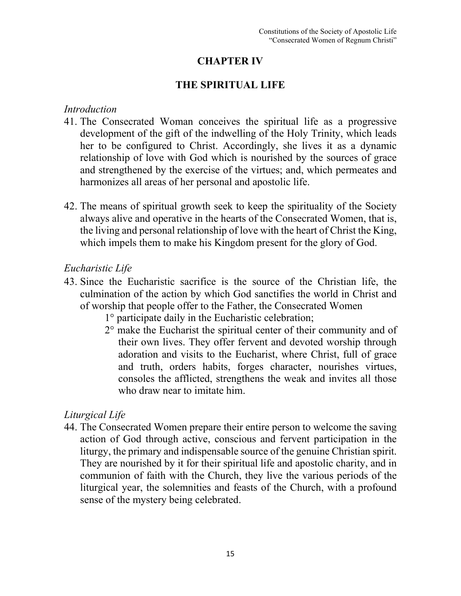## **CHAPTER IV**

#### **THE SPIRITUAL LIFE**

#### *Introduction*

- 41. The Consecrated Woman conceives the spiritual life as a progressive development of the gift of the indwelling of the Holy Trinity, which leads her to be configured to Christ. Accordingly, she lives it as a dynamic relationship of love with God which is nourished by the sources of grace and strengthened by the exercise of the virtues; and, which permeates and harmonizes all areas of her personal and apostolic life.
- 42. The means of spiritual growth seek to keep the spirituality of the Society always alive and operative in the hearts of the Consecrated Women, that is, the living and personal relationship of love with the heart of Christ the King, which impels them to make his Kingdom present for the glory of God.

#### *Eucharistic Life*

- 43. Since the Eucharistic sacrifice is the source of the Christian life, the culmination of the action by which God sanctifies the world in Christ and of worship that people offer to the Father, the Consecrated Women
	- 1° participate daily in the Eucharistic celebration;
	- 2° make the Eucharist the spiritual center of their community and of their own lives. They offer fervent and devoted worship through adoration and visits to the Eucharist, where Christ, full of grace and truth, orders habits, forges character, nourishes virtues, consoles the afflicted, strengthens the weak and invites all those who draw near to imitate him.

### *Liturgical Life*

44. The Consecrated Women prepare their entire person to welcome the saving action of God through active, conscious and fervent participation in the liturgy, the primary and indispensable source of the genuine Christian spirit. They are nourished by it for their spiritual life and apostolic charity, and in communion of faith with the Church, they live the various periods of the liturgical year, the solemnities and feasts of the Church, with a profound sense of the mystery being celebrated.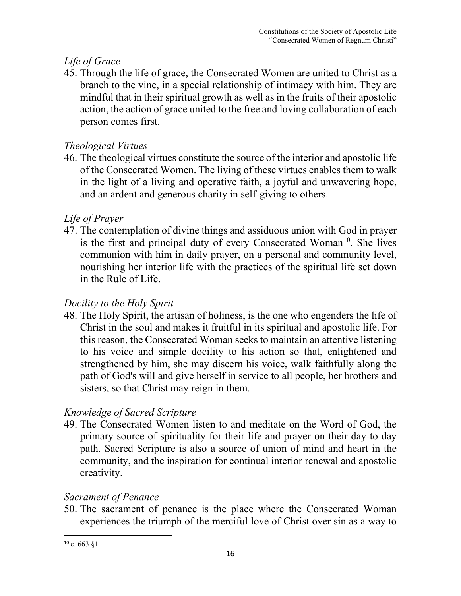## *Life of Grace*

45. Through the life of grace, the Consecrated Women are united to Christ as a branch to the vine, in a special relationship of intimacy with him. They are mindful that in their spiritual growth as well as in the fruits of their apostolic action, the action of grace united to the free and loving collaboration of each person comes first.

## *Theological Virtues*

46. The theological virtues constitute the source of the interior and apostolic life of the Consecrated Women. The living of these virtues enables them to walk in the light of a living and operative faith, a joyful and unwavering hope, and an ardent and generous charity in self-giving to others.

## *Life of Prayer*

47. The contemplation of divine things and assiduous union with God in prayer is the first and principal duty of every Consecrated Woman<sup>[10](#page-16-0)</sup>. She lives communion with him in daily prayer, on a personal and community level, nourishing her interior life with the practices of the spiritual life set down in the Rule of Life.

## *Docility to the Holy Spirit*

48. The Holy Spirit, the artisan of holiness, is the one who engenders the life of Christ in the soul and makes it fruitful in its spiritual and apostolic life. For this reason, the Consecrated Woman seeks to maintain an attentive listening to his voice and simple docility to his action so that, enlightened and strengthened by him, she may discern his voice, walk faithfully along the path of God's will and give herself in service to all people, her brothers and sisters, so that Christ may reign in them.

## *Knowledge of Sacred Scripture*

49. The Consecrated Women listen to and meditate on the Word of God, the primary source of spirituality for their life and prayer on their day-to-day path. Sacred Scripture is also a source of union of mind and heart in the community, and the inspiration for continual interior renewal and apostolic creativity.

## *Sacrament of Penance*

50. The sacrament of penance is the place where the Consecrated Woman experiences the triumph of the merciful love of Christ over sin as a way to

<span id="page-16-0"></span> $10$  c. 663  $$1$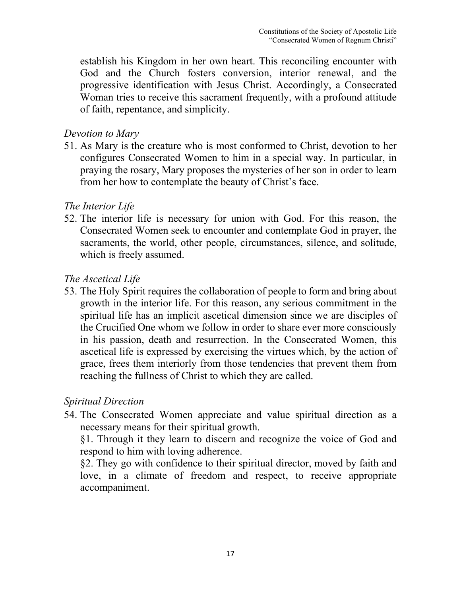establish his Kingdom in her own heart. This reconciling encounter with God and the Church fosters conversion, interior renewal, and the progressive identification with Jesus Christ. Accordingly, a Consecrated Woman tries to receive this sacrament frequently, with a profound attitude of faith, repentance, and simplicity.

#### *Devotion to Mary*

51. As Mary is the creature who is most conformed to Christ, devotion to her configures Consecrated Women to him in a special way. In particular, in praying the rosary, Mary proposes the mysteries of her son in order to learn from her how to contemplate the beauty of Christ's face.

#### *The Interior Life*

52. The interior life is necessary for union with God. For this reason, the Consecrated Women seek to encounter and contemplate God in prayer, the sacraments, the world, other people, circumstances, silence, and solitude, which is freely assumed.

#### *The Ascetical Life*

53. The Holy Spirit requires the collaboration of people to form and bring about growth in the interior life. For this reason, any serious commitment in the spiritual life has an implicit ascetical dimension since we are disciples of the Crucified One whom we follow in order to share ever more consciously in his passion, death and resurrection. In the Consecrated Women, this ascetical life is expressed by exercising the virtues which, by the action of grace, frees them interiorly from those tendencies that prevent them from reaching the fullness of Christ to which they are called.

#### *Spiritual Direction*

54. The Consecrated Women appreciate and value spiritual direction as a necessary means for their spiritual growth.

§1. Through it they learn to discern and recognize the voice of God and respond to him with loving adherence.

§2. They go with confidence to their spiritual director, moved by faith and love, in a climate of freedom and respect, to receive appropriate accompaniment.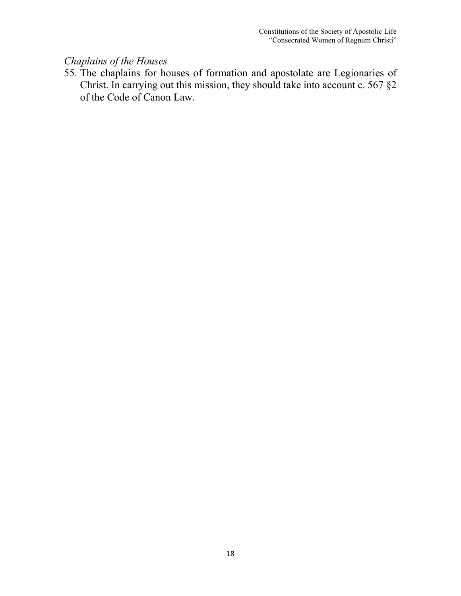## *Chaplains of the Houses*

55. The chaplains for houses of formation and apostolate are Legionaries of Christ. In carrying out this mission, they should take into account c. 567 §2 of the Code of Canon Law.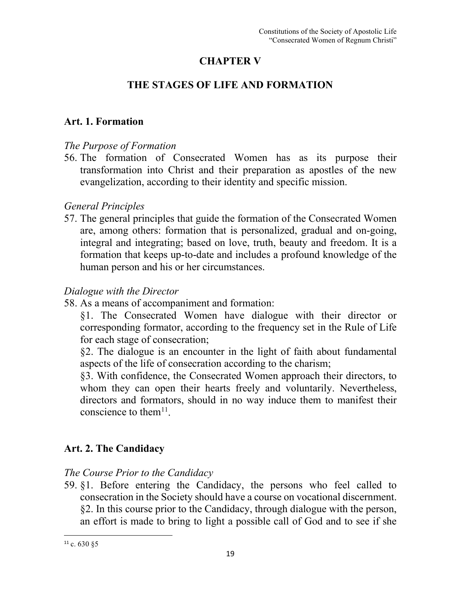## **CHAPTER V**

## **THE STAGES OF LIFE AND FORMATION**

## **Art. 1. Formation**

## *The Purpose of Formation*

56. The formation of Consecrated Women has as its purpose their transformation into Christ and their preparation as apostles of the new evangelization, according to their identity and specific mission.

## *General Principles*

57. The general principles that guide the formation of the Consecrated Women are, among others: formation that is personalized, gradual and on-going, integral and integrating; based on love, truth, beauty and freedom. It is a formation that keeps up-to-date and includes a profound knowledge of the human person and his or her circumstances.

## *Dialogue with the Director*

58. As a means of accompaniment and formation:

§1. The Consecrated Women have dialogue with their director or corresponding formator, according to the frequency set in the Rule of Life for each stage of consecration;

§2. The dialogue is an encounter in the light of faith about fundamental aspects of the life of consecration according to the charism;

§3. With confidence, the Consecrated Women approach their directors, to whom they can open their hearts freely and voluntarily. Nevertheless, directors and formators, should in no way induce them to manifest their conscience to them $11$ .

## **Art. 2. The Candidacy**

## *The Course Prior to the Candidacy*

59. §1. Before entering the Candidacy, the persons who feel called to consecration in the Society should have a course on vocational discernment. §2. In this course prior to the Candidacy, through dialogue with the person, an effort is made to bring to light a possible call of God and to see if she

<span id="page-19-0"></span> $11$  c. 630  $$5$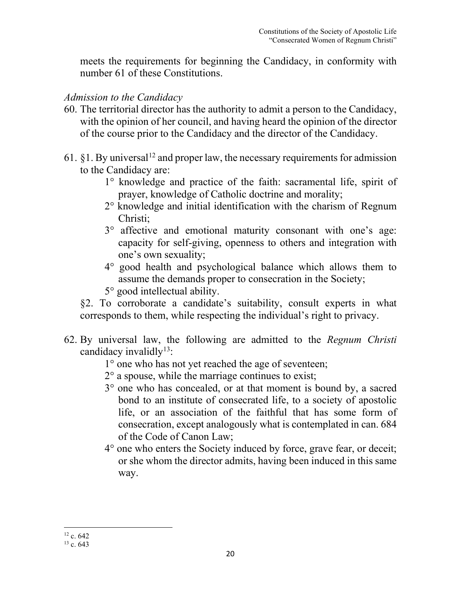meets the requirements for beginning the Candidacy, in conformity with number 61 of these Constitutions.

#### *Admission to the Candidacy*

- 60. The territorial director has the authority to admit a person to the Candidacy, with the opinion of her council, and having heard the opinion of the director of the course prior to the Candidacy and the director of the Candidacy.
- 61. §1. By universal<sup>[12](#page-20-0)</sup> and proper law, the necessary requirements for admission to the Candidacy are:
	- 1° knowledge and practice of the faith: sacramental life, spirit of prayer, knowledge of Catholic doctrine and morality;
	- 2° knowledge and initial identification with the charism of Regnum Christi;
	- 3° affective and emotional maturity consonant with one's age: capacity for self-giving, openness to others and integration with one's own sexuality;
	- 4° good health and psychological balance which allows them to assume the demands proper to consecration in the Society;
	- 5° good intellectual ability.

 §2. To corroborate a candidate's suitability, consult experts in what corresponds to them, while respecting the individual's right to privacy.

- 62. By universal law, the following are admitted to the *Regnum Christi*  candidacy invalidly<sup>[13](#page-20-1)</sup>:
	- 1° one who has not yet reached the age of seventeen;
	- $2^{\circ}$  a spouse, while the marriage continues to exist;
	- 3° one who has concealed, or at that moment is bound by, a sacred bond to an institute of consecrated life, to a society of apostolic life, or an association of the faithful that has some form of consecration, except analogously what is contemplated in can. 684 of the Code of Canon Law;
	- 4° one who enters the Society induced by force, grave fear, or deceit; or she whom the director admits, having been induced in this same way.

<span id="page-20-0"></span> $12$  c. 642

<span id="page-20-1"></span> $13 c. 643$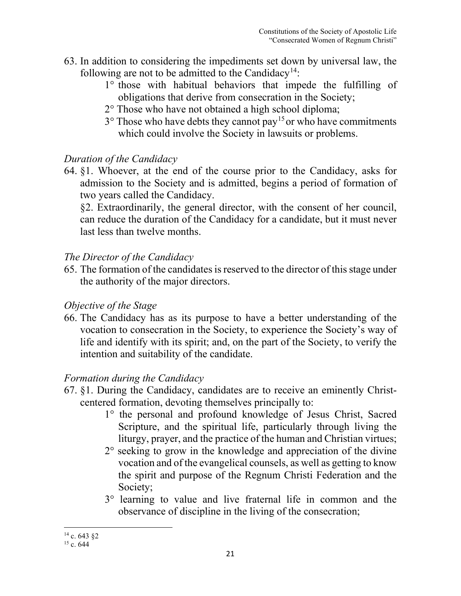- 63. In addition to considering the impediments set down by universal law, the following are not to be admitted to the Candidacy<sup>[14](#page-21-0)</sup>:
	- 1° those with habitual behaviors that impede the fulfilling of obligations that derive from consecration in the Society;
	- 2° Those who have not obtained a high school diploma;
	- $3^{\circ}$  Those who have debts they cannot pay<sup>[15](#page-21-1)</sup> or who have commitments which could involve the Society in lawsuits or problems.

#### *Duration of the Candidacy*

64. §1. Whoever, at the end of the course prior to the Candidacy, asks for admission to the Society and is admitted, begins a period of formation of two years called the Candidacy.

§2. Extraordinarily, the general director, with the consent of her council, can reduce the duration of the Candidacy for a candidate, but it must never last less than twelve months.

#### *The Director of the Candidacy*

65. The formation of the candidates is reserved to the director of this stage under the authority of the major directors.

### *Objective of the Stage*

66. The Candidacy has as its purpose to have a better understanding of the vocation to consecration in the Society, to experience the Society's way of life and identify with its spirit; and, on the part of the Society, to verify the intention and suitability of the candidate.

### *Formation during the Candidacy*

- 67. §1. During the Candidacy, candidates are to receive an eminently Christcentered formation, devoting themselves principally to:
	- 1° the personal and profound knowledge of Jesus Christ, Sacred Scripture, and the spiritual life, particularly through living the liturgy, prayer, and the practice of the human and Christian virtues;
	- 2° seeking to grow in the knowledge and appreciation of the divine vocation and of the evangelical counsels, as well as getting to know the spirit and purpose of the Regnum Christi Federation and the Society;
	- 3° learning to value and live fraternal life in common and the observance of discipline in the living of the consecration;

<span id="page-21-0"></span> $14$  c. 643  $82$ 

<span id="page-21-1"></span> $15$  c. 644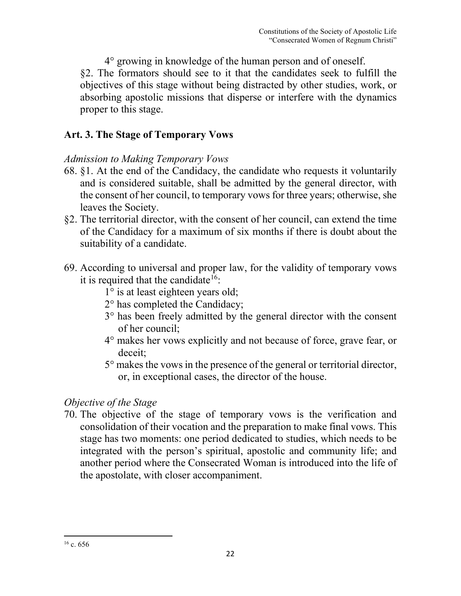4° growing in knowledge of the human person and of oneself. §2. The formators should see to it that the candidates seek to fulfill the objectives of this stage without being distracted by other studies, work, or absorbing apostolic missions that disperse or interfere with the dynamics proper to this stage.

## **Art. 3. The Stage of Temporary Vows**

## *Admission to Making Temporary Vows*

- 68. §1. At the end of the Candidacy, the candidate who requests it voluntarily and is considered suitable, shall be admitted by the general director, with the consent of her council, to temporary vows for three years; otherwise, she leaves the Society.
- §2. The territorial director, with the consent of her council, can extend the time of the Candidacy for a maximum of six months if there is doubt about the suitability of a candidate.
- 69. According to universal and proper law, for the validity of temporary vows it is required that the candidate<sup>[16](#page-22-0)</sup>:
	- 1° is at least eighteen years old;
	- 2° has completed the Candidacy;
	- 3° has been freely admitted by the general director with the consent of her council;
	- 4° makes her vows explicitly and not because of force, grave fear, or deceit;
	- 5° makes the vows in the presence of the general or territorial director, or, in exceptional cases, the director of the house.

## *Objective of the Stage*

70. The objective of the stage of temporary vows is the verification and consolidation of their vocation and the preparation to make final vows. This stage has two moments: one period dedicated to studies, which needs to be integrated with the person's spiritual, apostolic and community life; and another period where the Consecrated Woman is introduced into the life of the apostolate, with closer accompaniment.

<span id="page-22-0"></span> $16$  c. 656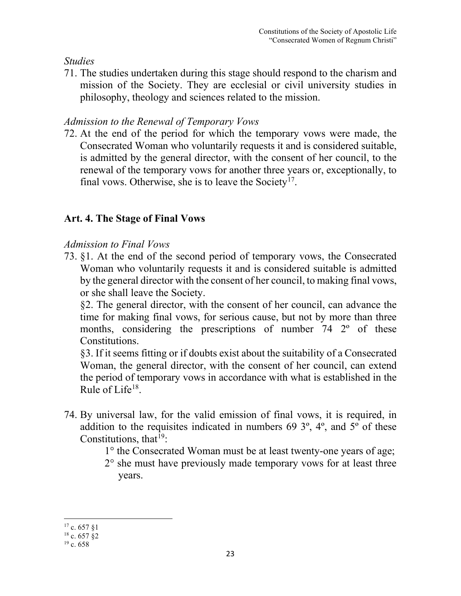## *Studies*

71. The studies undertaken during this stage should respond to the charism and mission of the Society. They are ecclesial or civil university studies in philosophy, theology and sciences related to the mission.

## *Admission to the Renewal of Temporary Vows*

72. At the end of the period for which the temporary vows were made, the Consecrated Woman who voluntarily requests it and is considered suitable, is admitted by the general director, with the consent of her council, to the renewal of the temporary vows for another three years or, exceptionally, to final vows. Otherwise, she is to leave the Society<sup>[17](#page-23-0)</sup>.

## **Art. 4. The Stage of Final Vows**

### *Admission to Final Vows*

73. §1. At the end of the second period of temporary vows, the Consecrated Woman who voluntarily requests it and is considered suitable is admitted by the general director with the consent of her council, to making final vows, or she shall leave the Society.

§2. The general director, with the consent of her council, can advance the time for making final vows, for serious cause, but not by more than three months, considering the prescriptions of number 74 2<sup>o</sup> of these Constitutions.

§3. If it seems fitting or if doubts exist about the suitability of a Consecrated Woman, the general director, with the consent of her council, can extend the period of temporary vows in accordance with what is established in the Rule of Life $18$ .

- 74. By universal law, for the valid emission of final vows, it is required, in addition to the requisites indicated in numbers 69 3º, 4º, and 5º of these Constitutions, that  $19$ :
	- 1° the Consecrated Woman must be at least twenty-one years of age;
	- 2° she must have previously made temporary vows for at least three years.

<span id="page-23-0"></span><sup>17</sup> c. 657 §1

<span id="page-23-1"></span> $18$  c. 657  $82$ 

<span id="page-23-2"></span> $19c.658$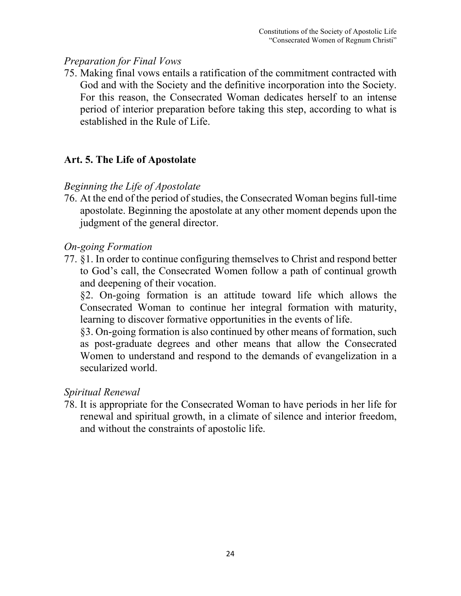#### *Preparation for Final Vows*

75. Making final vows entails a ratification of the commitment contracted with God and with the Society and the definitive incorporation into the Society. For this reason, the Consecrated Woman dedicates herself to an intense period of interior preparation before taking this step, according to what is established in the Rule of Life.

#### **Art. 5. The Life of Apostolate**

#### *Beginning the Life of Apostolate*

76. At the end of the period of studies, the Consecrated Woman begins full-time apostolate. Beginning the apostolate at any other moment depends upon the judgment of the general director.

#### *On-going Formation*

77. §1. In order to continue configuring themselves to Christ and respond better to God's call, the Consecrated Women follow a path of continual growth and deepening of their vocation.

§2. On-going formation is an attitude toward life which allows the Consecrated Woman to continue her integral formation with maturity, learning to discover formative opportunities in the events of life.

§3. On-going formation is also continued by other means of formation, such as post-graduate degrees and other means that allow the Consecrated Women to understand and respond to the demands of evangelization in a secularized world.

#### *Spiritual Renewal*

78. It is appropriate for the Consecrated Woman to have periods in her life for renewal and spiritual growth, in a climate of silence and interior freedom, and without the constraints of apostolic life.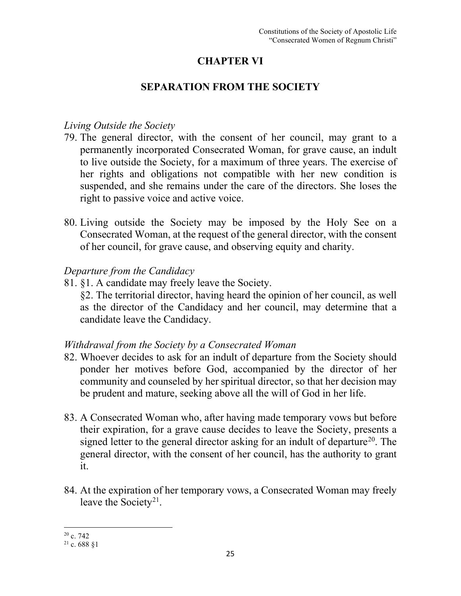## **CHAPTER VI**

#### **SEPARATION FROM THE SOCIETY**

#### *Living Outside the Society*

- 79. The general director, with the consent of her council, may grant to a permanently incorporated Consecrated Woman, for grave cause, an indult to live outside the Society, for a maximum of three years. The exercise of her rights and obligations not compatible with her new condition is suspended, and she remains under the care of the directors. She loses the right to passive voice and active voice.
- 80. Living outside the Society may be imposed by the Holy See on a Consecrated Woman, at the request of the general director, with the consent of her council, for grave cause, and observing equity and charity.

#### *Departure from the Candidacy*

81. §1. A candidate may freely leave the Society.

§2. The territorial director, having heard the opinion of her council, as well as the director of the Candidacy and her council, may determine that a candidate leave the Candidacy.

### *Withdrawal from the Society by a Consecrated Woman*

- 82. Whoever decides to ask for an indult of departure from the Society should ponder her motives before God, accompanied by the director of her community and counseled by her spiritual director, so that her decision may be prudent and mature, seeking above all the will of God in her life.
- 83. A Consecrated Woman who, after having made temporary vows but before their expiration, for a grave cause decides to leave the Society, presents a signed letter to the general director asking for an indult of departure<sup>[20](#page-25-0)</sup>. The general director, with the consent of her council, has the authority to grant it.
- 84. At the expiration of her temporary vows, a Consecrated Woman may freely leave the Society<sup>21</sup>.

<span id="page-25-0"></span> $20$  c. 742

<span id="page-25-1"></span> $21$  c. 688 81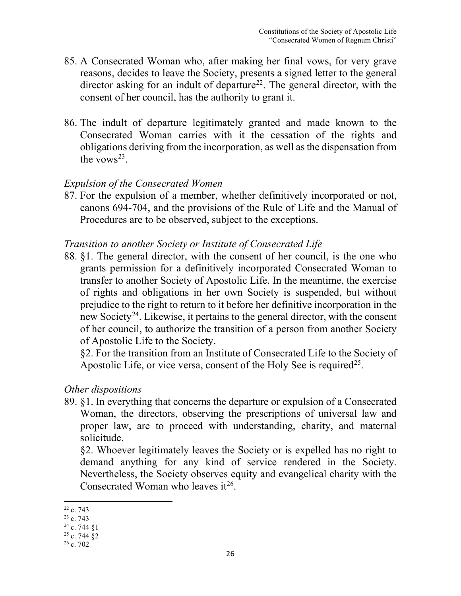- 85. A Consecrated Woman who, after making her final vows, for very grave reasons, decides to leave the Society, presents a signed letter to the general director asking for an indult of departure<sup>[22](#page-26-0)</sup>. The general director, with the consent of her council, has the authority to grant it.
- 86. The indult of departure legitimately granted and made known to the Consecrated Woman carries with it the cessation of the rights and obligations deriving from the incorporation, as well as the dispensation from the vows<sup>[23](#page-26-1)</sup>.

#### *Expulsion of the Consecrated Women*

87. For the expulsion of a member, whether definitively incorporated or not, canons 694-704, and the provisions of the Rule of Life and the Manual of Procedures are to be observed, subject to the exceptions.

#### *Transition to another Society or Institute of Consecrated Life*

88. §1. The general director, with the consent of her council, is the one who grants permission for a definitively incorporated Consecrated Woman to transfer to another Society of Apostolic Life. In the meantime, the exercise of rights and obligations in her own Society is suspended, but without prejudice to the right to return to it before her definitive incorporation in the new Society<sup>24</sup>. Likewise, it pertains to the general director, with the consent of her council, to authorize the transition of a person from another Society of Apostolic Life to the Society.

§2. For the transition from an Institute of Consecrated Life to the Society of Apostolic Life, or vice versa, consent of the Holy See is required<sup>25</sup>.

#### *Other dispositions*

89. §1. In everything that concerns the departure or expulsion of a Consecrated Woman, the directors, observing the prescriptions of universal law and proper law, are to proceed with understanding, charity, and maternal solicitude.

§2. Whoever legitimately leaves the Society or is expelled has no right to demand anything for any kind of service rendered in the Society. Nevertheless, the Society observes equity and evangelical charity with the Consecrated Woman who leaves  $it^{26}$  $it^{26}$  $it^{26}$ .

<span id="page-26-0"></span><sup>22</sup> c. 743

<span id="page-26-1"></span><sup>&</sup>lt;sup>23</sup> c. 743

<span id="page-26-2"></span> $24$  c. 744 §1

<span id="page-26-3"></span> $25$  c. 744  $\S$ 2

<span id="page-26-4"></span> $26$  c. 702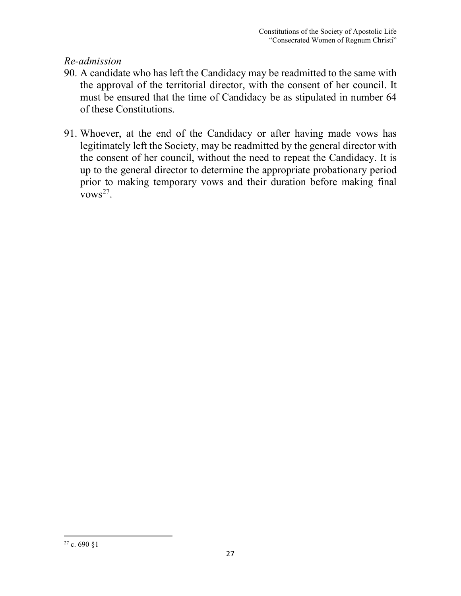### *Re-admission*

- 90. A candidate who has left the Candidacy may be readmitted to the same with the approval of the territorial director, with the consent of her council. It must be ensured that the time of Candidacy be as stipulated in number 64 of these Constitutions.
- <span id="page-27-0"></span>91. Whoever, at the end of the Candidacy or after having made vows has legitimately left the Society, may be readmitted by the general director with the consent of her council, without the need to repeat the Candidacy. It is up to the general director to determine the appropriate probationary period prior to making temporary vows and their duration before making final vows<sup>27</sup>.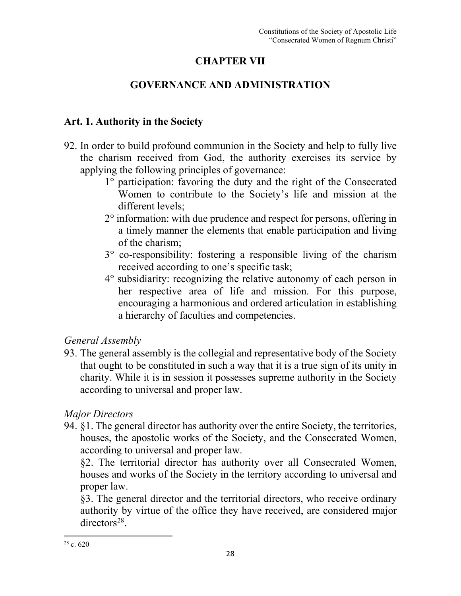## **CHAPTER VII**

## **GOVERNANCE AND ADMINISTRATION**

## **Art. 1. Authority in the Society**

- 92. In order to build profound communion in the Society and help to fully live the charism received from God, the authority exercises its service by applying the following principles of governance:
	- 1° participation: favoring the duty and the right of the Consecrated Women to contribute to the Society's life and mission at the different levels;
	- 2° information: with due prudence and respect for persons, offering in a timely manner the elements that enable participation and living of the charism;
	- 3° co-responsibility: fostering a responsible living of the charism received according to one's specific task;
	- 4° subsidiarity: recognizing the relative autonomy of each person in her respective area of life and mission. For this purpose, encouraging a harmonious and ordered articulation in establishing a hierarchy of faculties and competencies.

### *General Assembly*

93. The general assembly is the collegial and representative body of the Society that ought to be constituted in such a way that it is a true sign of its unity in charity. While it is in session it possesses supreme authority in the Society according to universal and proper law.

## *Major Directors*

94. §1. The general director has authority over the entire Society, the territories, houses, the apostolic works of the Society, and the Consecrated Women, according to universal and proper law.

§2. The territorial director has authority over all Consecrated Women, houses and works of the Society in the territory according to universal and proper law.

<span id="page-28-0"></span>§3. The general director and the territorial directors, who receive ordinary authority by virtue of the office they have received, are considered major directors[28](#page-28-0).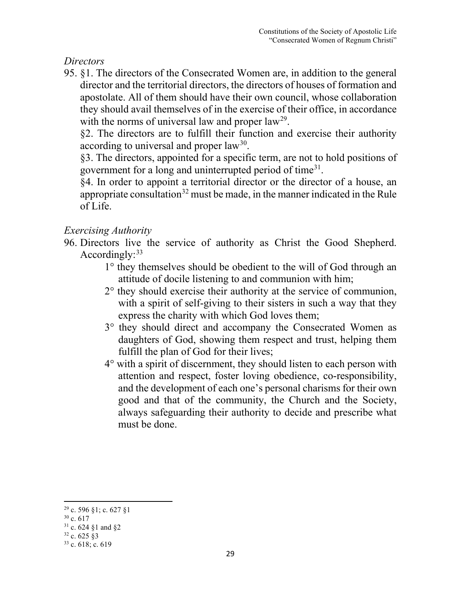*Directors* 

95. §1. The directors of the Consecrated Women are, in addition to the general director and the territorial directors, the directors of houses of formation and apostolate. All of them should have their own council, whose collaboration they should avail themselves of in the exercise of their office, in accordance with the norms of universal law and proper  $law^{29}$  $law^{29}$  $law^{29}$ .

§2. The directors are to fulfill their function and exercise their authority according to universal and proper  $law^{30}$ .

§3. The directors, appointed for a specific term, are not to hold positions of government for a long and uninterrupted period of time<sup>[31](#page-29-2)</sup>.

§4. In order to appoint a territorial director or the director of a house, an appropriate consultation<sup>[32](#page-29-3)</sup> must be made, in the manner indicated in the Rule of Life.

## *Exercising Authority*

- 96. Directors live the service of authority as Christ the Good Shepherd. Accordingly: $33$ 
	- 1° they themselves should be obedient to the will of God through an attitude of docile listening to and communion with him;
	- 2° they should exercise their authority at the service of communion, with a spirit of self-giving to their sisters in such a way that they express the charity with which God loves them;
	- 3° they should direct and accompany the Consecrated Women as daughters of God, showing them respect and trust, helping them fulfill the plan of God for their lives;
	- 4° with a spirit of discernment, they should listen to each person with attention and respect, foster loving obedience, co-responsibility, and the development of each one's personal charisms for their own good and that of the community, the Church and the Society, always safeguarding their authority to decide and prescribe what must be done.

<span id="page-29-0"></span><sup>29</sup> c. 596 §1; c. 627 §1

<span id="page-29-1"></span> $30$  c. 617

<span id="page-29-2"></span><sup>31</sup> c. 624 §1 and §2

<span id="page-29-3"></span> $32$  c. 625 §3

<span id="page-29-4"></span> $33$  c. 618; c. 619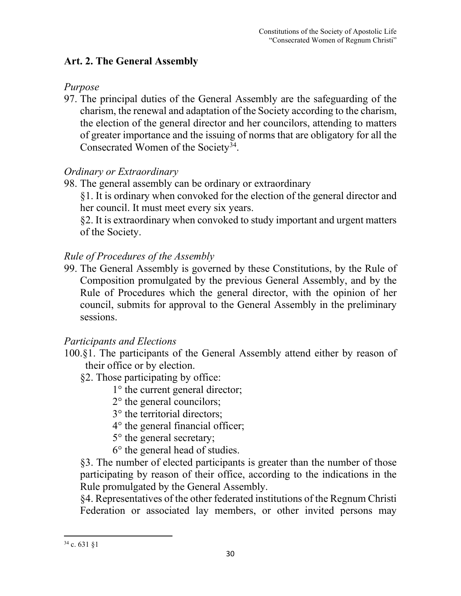## **Art. 2. The General Assembly**

## *Purpose*

97. The principal duties of the General Assembly are the safeguarding of the charism, the renewal and adaptation of the Society according to the charism, the election of the general director and her councilors, attending to matters of greater importance and the issuing of norms that are obligatory for all the Consecrated Women of the Society<sup>[34](#page-30-0)</sup>.

## *Ordinary or Extraordinary*

98. The general assembly can be ordinary or extraordinary

§1. It is ordinary when convoked for the election of the general director and her council. It must meet every six years.

§2. It is extraordinary when convoked to study important and urgent matters of the Society.

## *Rule of Procedures of the Assembly*

99. The General Assembly is governed by these Constitutions, by the Rule of Composition promulgated by the previous General Assembly, and by the Rule of Procedures which the general director, with the opinion of her council, submits for approval to the General Assembly in the preliminary sessions.

## *Participants and Elections*

- 100.§1. The participants of the General Assembly attend either by reason of their office or by election.
	- §2. Those participating by office:
		- 1° the current general director;

2° the general councilors;

- 3° the territorial directors;
- 4° the general financial officer;
- 5° the general secretary;
- 6° the general head of studies.

§3. The number of elected participants is greater than the number of those participating by reason of their office, according to the indications in the Rule promulgated by the General Assembly.

§4. Representatives of the other federated institutions of the Regnum Christi Federation or associated lay members, or other invited persons may

<span id="page-30-0"></span> $34$  c. 631  $\S1$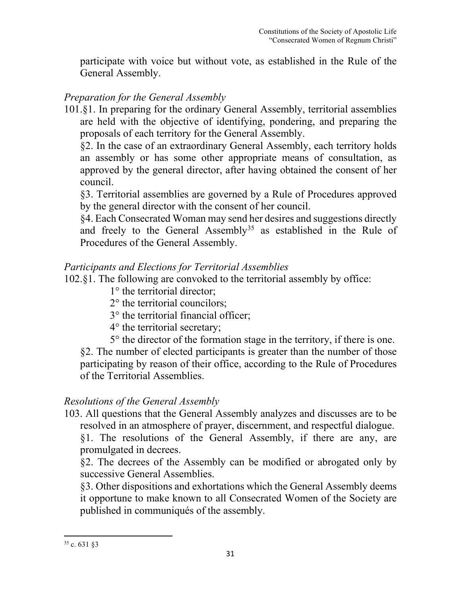participate with voice but without vote, as established in the Rule of the General Assembly.

#### *Preparation for the General Assembly*

101.§1. In preparing for the ordinary General Assembly, territorial assemblies are held with the objective of identifying, pondering, and preparing the proposals of each territory for the General Assembly.

§2. In the case of an extraordinary General Assembly, each territory holds an assembly or has some other appropriate means of consultation, as approved by the general director, after having obtained the consent of her council.

§3. Territorial assemblies are governed by a Rule of Procedures approved by the general director with the consent of her council.

§4. Each Consecrated Woman may send her desires and suggestions directly and freely to the General Assembly<sup>[35](#page-31-0)</sup> as established in the Rule of Procedures of the General Assembly.

#### *Participants and Elections for Territorial Assemblies*

102.§1. The following are convoked to the territorial assembly by office:

- 1° the territorial director;
- 2° the territorial councilors;
- 3° the territorial financial officer;
- 4° the territorial secretary;
- 5° the director of the formation stage in the territory, if there is one.

§2. The number of elected participants is greater than the number of those participating by reason of their office, according to the Rule of Procedures of the Territorial Assemblies.

### *Resolutions of the General Assembly*

103. All questions that the General Assembly analyzes and discusses are to be resolved in an atmosphere of prayer, discernment, and respectful dialogue. §1. The resolutions of the General Assembly, if there are any, are

promulgated in decrees.

§2. The decrees of the Assembly can be modified or abrogated only by successive General Assemblies.

<span id="page-31-0"></span>§3. Other dispositions and exhortations which the General Assembly deems it opportune to make known to all Consecrated Women of the Society are published in communiqués of the assembly.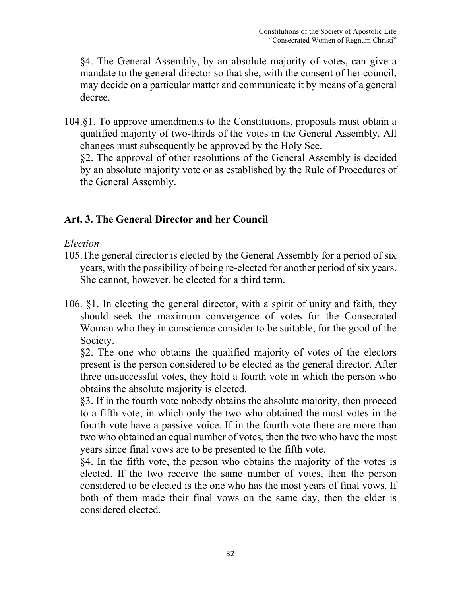§4. The General Assembly, by an absolute majority of votes, can give a mandate to the general director so that she, with the consent of her council, may decide on a particular matter and communicate it by means of a general decree.

104.§1. To approve amendments to the Constitutions, proposals must obtain a qualified majority of two-thirds of the votes in the General Assembly. All changes must subsequently be approved by the Holy See.

 §2. The approval of other resolutions of the General Assembly is decided by an absolute majority vote or as established by the Rule of Procedures of the General Assembly.

### **Art. 3. The General Director and her Council**

#### *Election*

- 105.The general director is elected by the General Assembly for a period of six years, with the possibility of being re-elected for another period of six years. She cannot, however, be elected for a third term.
- 106. §1. In electing the general director, with a spirit of unity and faith, they should seek the maximum convergence of votes for the Consecrated Woman who they in conscience consider to be suitable, for the good of the Society.

§2. The one who obtains the qualified majority of votes of the electors present is the person considered to be elected as the general director. After three unsuccessful votes, they hold a fourth vote in which the person who obtains the absolute majority is elected.

§3. If in the fourth vote nobody obtains the absolute majority, then proceed to a fifth vote, in which only the two who obtained the most votes in the fourth vote have a passive voice. If in the fourth vote there are more than two who obtained an equal number of votes, then the two who have the most years since final vows are to be presented to the fifth vote.

§4. In the fifth vote, the person who obtains the majority of the votes is elected. If the two receive the same number of votes, then the person considered to be elected is the one who has the most years of final vows. If both of them made their final vows on the same day, then the elder is considered elected.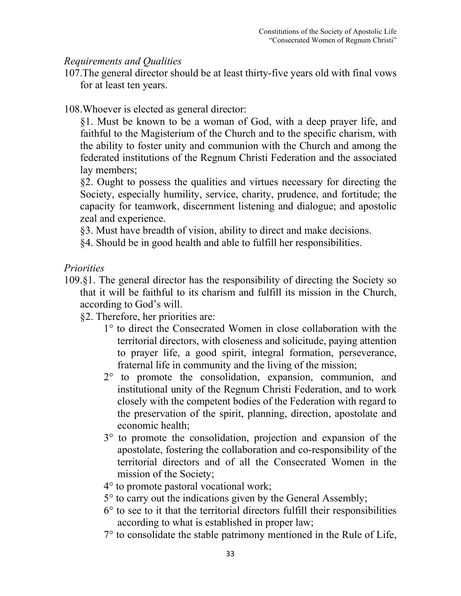#### *Requirements and Qualities*

107.The general director should be at least thirty-five years old with final vows for at least ten years.

108.Whoever is elected as general director:

§1. Must be known to be a woman of God, with a deep prayer life, and faithful to the Magisterium of the Church and to the specific charism, with the ability to foster unity and communion with the Church and among the federated institutions of the Regnum Christi Federation and the associated lay members;

§2. Ought to possess the qualities and virtues necessary for directing the Society, especially humility, service, charity, prudence, and fortitude; the capacity for teamwork, discernment listening and dialogue; and apostolic zeal and experience.

§3. Must have breadth of vision, ability to direct and make decisions.

§4. Should be in good health and able to fulfill her responsibilities.

*Priorities* 

- 109.§1. The general director has the responsibility of directing the Society so that it will be faithful to its charism and fulfill its mission in the Church, according to God's will.
	- §2. Therefore, her priorities are:
		- 1° to direct the Consecrated Women in close collaboration with the territorial directors, with closeness and solicitude, paying attention to prayer life, a good spirit, integral formation, perseverance, fraternal life in community and the living of the mission;
		- 2° to promote the consolidation, expansion, communion, and institutional unity of the Regnum Christi Federation, and to work closely with the competent bodies of the Federation with regard to the preservation of the spirit, planning, direction, apostolate and economic health;
		- 3° to promote the consolidation, projection and expansion of the apostolate, fostering the collaboration and co-responsibility of the territorial directors and of all the Consecrated Women in the mission of the Society;
		- 4° to promote pastoral vocational work;
		- 5° to carry out the indications given by the General Assembly;
		- $6^\circ$  to see to it that the territorial directors fulfill their responsibilities according to what is established in proper law;
		- 7° to consolidate the stable patrimony mentioned in the Rule of Life,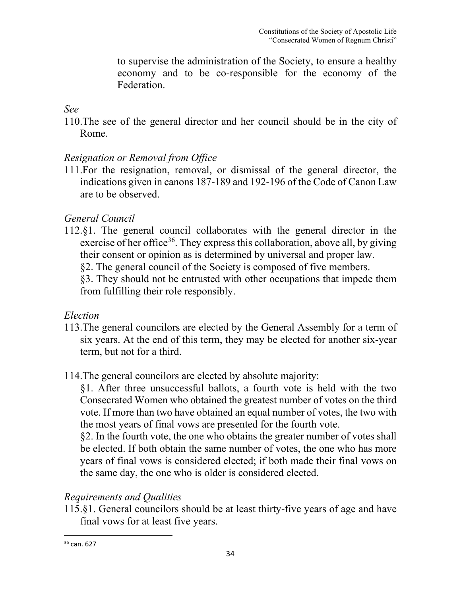to supervise the administration of the Society, to ensure a healthy economy and to be co-responsible for the economy of the Federation.

*See*

110.The see of the general director and her council should be in the city of Rome.

## *Resignation or Removal from Office*

111.For the resignation, removal, or dismissal of the general director, the indications given in canons 187-189 and 192-196 of the Code of Canon Law are to be observed.

## *General Council*

112.§1. The general council collaborates with the general director in the exercise of her office<sup>[36](#page-34-0)</sup>. They express this collaboration, above all, by giving their consent or opinion as is determined by universal and proper law.

§2. The general council of the Society is composed of five members.

 §3. They should not be entrusted with other occupations that impede them from fulfilling their role responsibly.

## *Election*

- 113.The general councilors are elected by the General Assembly for a term of six years. At the end of this term, they may be elected for another six-year term, but not for a third.
- 114.The general councilors are elected by absolute majority:

§1. After three unsuccessful ballots, a fourth vote is held with the two Consecrated Women who obtained the greatest number of votes on the third vote. If more than two have obtained an equal number of votes, the two with the most years of final vows are presented for the fourth vote.

§2. In the fourth vote, the one who obtains the greater number of votes shall be elected. If both obtain the same number of votes, the one who has more years of final vows is considered elected; if both made their final vows on the same day, the one who is older is considered elected.

## *Requirements and Qualities*

115.§1. General councilors should be at least thirty-five years of age and have final vows for at least five years.

<span id="page-34-0"></span><sup>36</sup> can. 627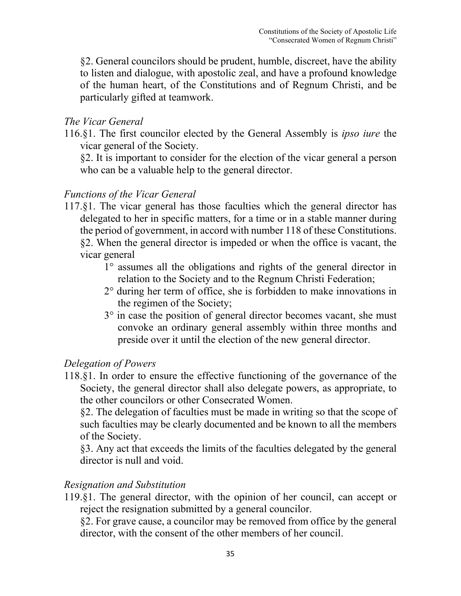§2. General councilors should be prudent, humble, discreet, have the ability to listen and dialogue, with apostolic zeal, and have a profound knowledge of the human heart, of the Constitutions and of Regnum Christi, and be particularly gifted at teamwork.

## *The Vicar General*

116.§1. The first councilor elected by the General Assembly is *ipso iure* the vicar general of the Society.

 §2. It is important to consider for the election of the vicar general a person who can be a valuable help to the general director.

### *Functions of the Vicar General*

- 117.§1. The vicar general has those faculties which the general director has delegated to her in specific matters, for a time or in a stable manner during the period of government, in accord with number 118 of these Constitutions. §2. When the general director is impeded or when the office is vacant, the vicar general
	- 1° assumes all the obligations and rights of the general director in relation to the Society and to the Regnum Christi Federation;
	- 2° during her term of office, she is forbidden to make innovations in the regimen of the Society;
	- 3<sup>°</sup> in case the position of general director becomes vacant, she must convoke an ordinary general assembly within three months and preside over it until the election of the new general director.

### *Delegation of Powers*

118.§1. In order to ensure the effective functioning of the governance of the Society, the general director shall also delegate powers, as appropriate, to the other councilors or other Consecrated Women.

§2. The delegation of faculties must be made in writing so that the scope of such faculties may be clearly documented and be known to all the members of the Society.

 §3. Any act that exceeds the limits of the faculties delegated by the general director is null and void.

#### *Resignation and Substitution*

119.§1. The general director, with the opinion of her council, can accept or reject the resignation submitted by a general councilor.

 §2. For grave cause, a councilor may be removed from office by the general director, with the consent of the other members of her council.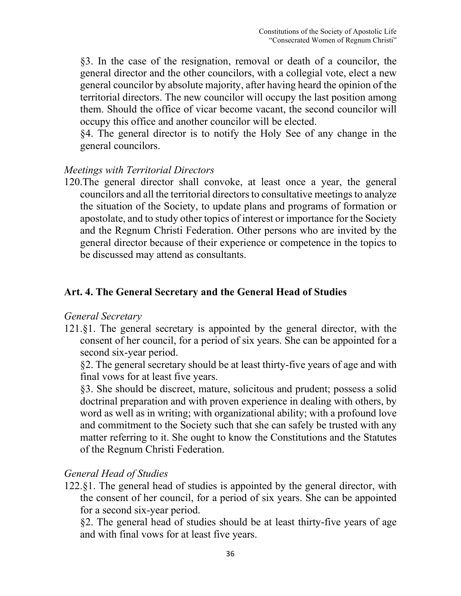§3. In the case of the resignation, removal or death of a councilor, the general director and the other councilors, with a collegial vote, elect a new general councilor by absolute majority, after having heard the opinion of the territorial directors. The new councilor will occupy the last position among them. Should the office of vicar become vacant, the second councilor will occupy this office and another councilor will be elected.

§4. The general director is to notify the Holy See of any change in the general councilors.

#### *Meetings with Territorial Directors*

120.The general director shall convoke, at least once a year, the general councilors and all the territorial directors to consultative meetings to analyze the situation of the Society, to update plans and programs of formation or apostolate, and to study other topics of interest or importance for the Society and the Regnum Christi Federation. Other persons who are invited by the general director because of their experience or competence in the topics to be discussed may attend as consultants.

## **Art. 4. The General Secretary and the General Head of Studies**

#### *General Secretary*

121.§1. The general secretary is appointed by the general director, with the consent of her council, for a period of six years. She can be appointed for a second six-year period.

 §2. The general secretary should be at least thirty-five years of age and with final vows for at least five years.

 §3. She should be discreet, mature, solicitous and prudent; possess a solid doctrinal preparation and with proven experience in dealing with others, by word as well as in writing; with organizational ability; with a profound love and commitment to the Society such that she can safely be trusted with any matter referring to it. She ought to know the Constitutions and the Statutes of the Regnum Christi Federation.

#### *General Head of Studies*

122.§1. The general head of studies is appointed by the general director, with the consent of her council, for a period of six years. She can be appointed for a second six-year period.

 §2. The general head of studies should be at least thirty-five years of age and with final vows for at least five years.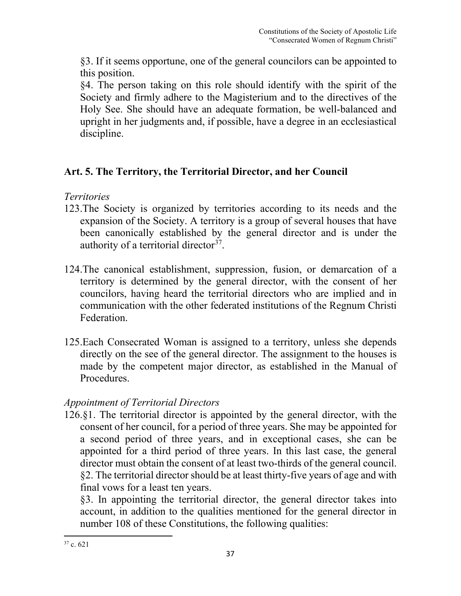§3. If it seems opportune, one of the general councilors can be appointed to this position.

 §4. The person taking on this role should identify with the spirit of the Society and firmly adhere to the Magisterium and to the directives of the Holy See. She should have an adequate formation, be well-balanced and upright in her judgments and, if possible, have a degree in an ecclesiastical discipline.

## **Art. 5. The Territory, the Territorial Director, and her Council**

## *Territories*

- 123.The Society is organized by territories according to its needs and the expansion of the Society. A territory is a group of several houses that have been canonically established by the general director and is under the authority of a territorial director $37$ .
- 124.The canonical establishment, suppression, fusion, or demarcation of a territory is determined by the general director, with the consent of her councilors, having heard the territorial directors who are implied and in communication with the other federated institutions of the Regnum Christi Federation.
- 125.Each Consecrated Woman is assigned to a territory, unless she depends directly on the see of the general director. The assignment to the houses is made by the competent major director, as established in the Manual of Procedures.

## *Appointment of Territorial Directors*

126.§1. The territorial director is appointed by the general director, with the consent of her council, for a period of three years. She may be appointed for a second period of three years, and in exceptional cases, she can be appointed for a third period of three years. In this last case, the general director must obtain the consent of at least two-thirds of the general council. §2. The territorial director should be at least thirty-five years of age and with final vows for a least ten years.

 §3. In appointing the territorial director, the general director takes into account, in addition to the qualities mentioned for the general director in number 108 of these Constitutions, the following qualities:

<span id="page-37-0"></span> $37$  c. 621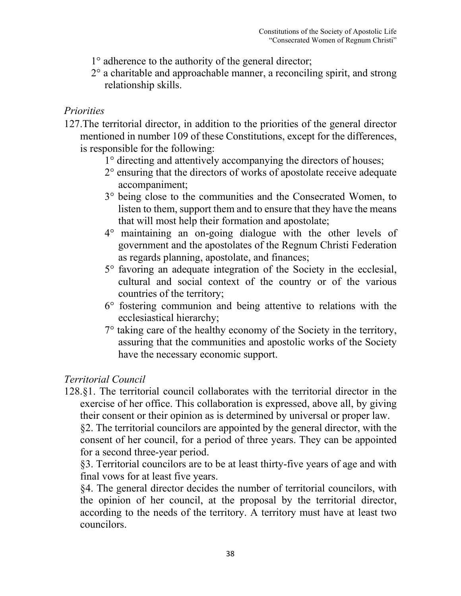- 1° adherence to the authority of the general director;
- 2° a charitable and approachable manner, a reconciling spirit, and strong relationship skills.

#### *Priorities*

- 127.The territorial director, in addition to the priorities of the general director mentioned in number 109 of these Constitutions, except for the differences, is responsible for the following:
	- 1° directing and attentively accompanying the directors of houses;
	- 2° ensuring that the directors of works of apostolate receive adequate accompaniment;
	- 3° being close to the communities and the Consecrated Women, to listen to them, support them and to ensure that they have the means that will most help their formation and apostolate;
	- 4° maintaining an on-going dialogue with the other levels of government and the apostolates of the Regnum Christi Federation as regards planning, apostolate, and finances;
	- 5° favoring an adequate integration of the Society in the ecclesial, cultural and social context of the country or of the various countries of the territory;
	- 6° fostering communion and being attentive to relations with the ecclesiastical hierarchy;
	- 7° taking care of the healthy economy of the Society in the territory, assuring that the communities and apostolic works of the Society have the necessary economic support.

### *Territorial Council*

128.§1. The territorial council collaborates with the territorial director in the exercise of her office. This collaboration is expressed, above all, by giving their consent or their opinion as is determined by universal or proper law.

 §2. The territorial councilors are appointed by the general director, with the consent of her council, for a period of three years. They can be appointed for a second three-year period.

 §3. Territorial councilors are to be at least thirty-five years of age and with final vows for at least five years.

 §4. The general director decides the number of territorial councilors, with the opinion of her council, at the proposal by the territorial director, according to the needs of the territory. A territory must have at least two councilors.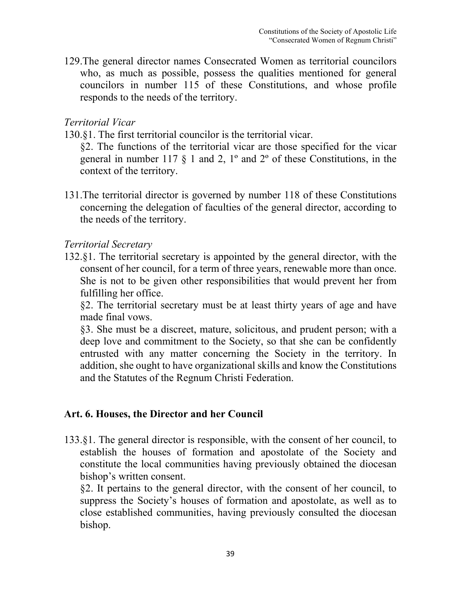129.The general director names Consecrated Women as territorial councilors who, as much as possible, possess the qualities mentioned for general councilors in number 115 of these Constitutions, and whose profile responds to the needs of the territory.

#### *Territorial Vicar*

130.§1. The first territorial councilor is the territorial vicar.

 §2. The functions of the territorial vicar are those specified for the vicar general in number 117  $\S$  1 and 2, 1<sup>o</sup> and 2<sup>o</sup> of these Constitutions, in the context of the territory.

131.The territorial director is governed by number 118 of these Constitutions concerning the delegation of faculties of the general director, according to the needs of the territory.

#### *Territorial Secretary*

132.§1. The territorial secretary is appointed by the general director, with the consent of her council, for a term of three years, renewable more than once. She is not to be given other responsibilities that would prevent her from fulfilling her office.

 §2. The territorial secretary must be at least thirty years of age and have made final vows.

 §3. She must be a discreet, mature, solicitous, and prudent person; with a deep love and commitment to the Society, so that she can be confidently entrusted with any matter concerning the Society in the territory. In addition, she ought to have organizational skills and know the Constitutions and the Statutes of the Regnum Christi Federation.

#### **Art. 6. Houses, the Director and her Council**

133.§1. The general director is responsible, with the consent of her council, to establish the houses of formation and apostolate of the Society and constitute the local communities having previously obtained the diocesan bishop's written consent.

 §2. It pertains to the general director, with the consent of her council, to suppress the Society's houses of formation and apostolate, as well as to close established communities, having previously consulted the diocesan bishop.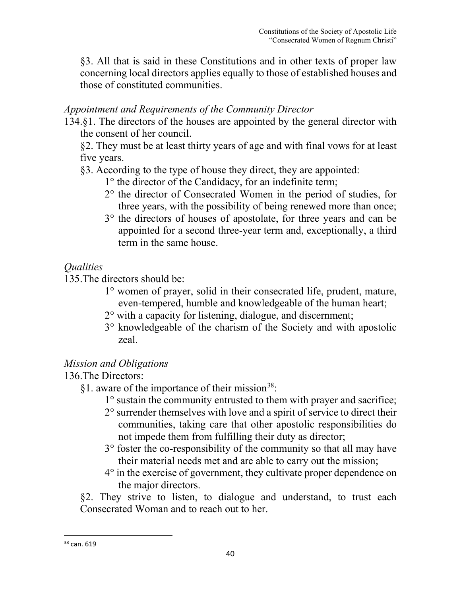§3. All that is said in these Constitutions and in other texts of proper law concerning local directors applies equally to those of established houses and those of constituted communities.

## *Appointment and Requirements of the Community Director*

134.§1. The directors of the houses are appointed by the general director with the consent of her council.

 §2. They must be at least thirty years of age and with final vows for at least five years.

- §3. According to the type of house they direct, they are appointed:
	- 1° the director of the Candidacy, for an indefinite term;
	- 2° the director of Consecrated Women in the period of studies, for three years, with the possibility of being renewed more than once;
	- 3° the directors of houses of apostolate, for three years and can be appointed for a second three-year term and, exceptionally, a third term in the same house.

## *Qualities*

135.The directors should be:

- 1° women of prayer, solid in their consecrated life, prudent, mature, even-tempered, humble and knowledgeable of the human heart;
- 2° with a capacity for listening, dialogue, and discernment;
- 3° knowledgeable of the charism of the Society and with apostolic zeal.

## *Mission and Obligations*

136.The Directors:

- $§1.$  aware of the importance of their mission<sup>[38](#page-40-0)</sup>:
	- 1° sustain the community entrusted to them with prayer and sacrifice;
	- 2° surrender themselves with love and a spirit of service to direct their communities, taking care that other apostolic responsibilities do not impede them from fulfilling their duty as director;
	- 3° foster the co-responsibility of the community so that all may have their material needs met and are able to carry out the mission;
	- 4° in the exercise of government, they cultivate proper dependence on the major directors.

§2. They strive to listen, to dialogue and understand, to trust each Consecrated Woman and to reach out to her.

<span id="page-40-0"></span><sup>&</sup>lt;sup>38</sup> can. 619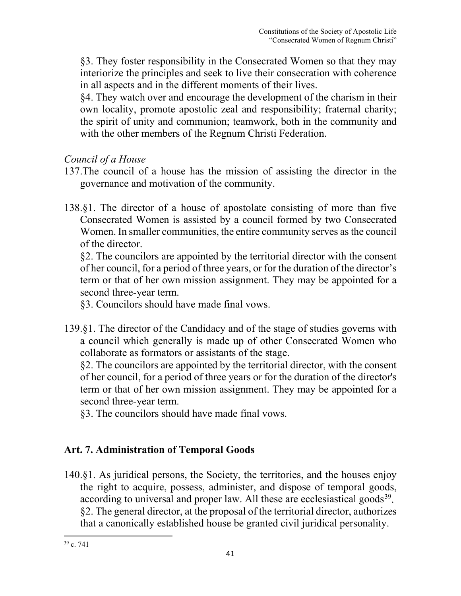§3. They foster responsibility in the Consecrated Women so that they may interiorize the principles and seek to live their consecration with coherence in all aspects and in the different moments of their lives.

§4. They watch over and encourage the development of the charism in their own locality, promote apostolic zeal and responsibility; fraternal charity; the spirit of unity and communion; teamwork, both in the community and with the other members of the Regnum Christi Federation.

## *Council of a House*

- 137.The council of a house has the mission of assisting the director in the governance and motivation of the community.
- 138.§1. The director of a house of apostolate consisting of more than five Consecrated Women is assisted by a council formed by two Consecrated Women. In smaller communities, the entire community serves as the council of the director.

 §2. The councilors are appointed by the territorial director with the consent of her council, for a period of three years, or for the duration of the director's term or that of her own mission assignment. They may be appointed for a second three-year term.

§3. Councilors should have made final vows.

139.§1. The director of the Candidacy and of the stage of studies governs with a council which generally is made up of other Consecrated Women who collaborate as formators or assistants of the stage.

 §2. The councilors are appointed by the territorial director, with the consent of her council, for a period of three years or for the duration of the director's term or that of her own mission assignment. They may be appointed for a second three-year term.

§3. The councilors should have made final vows.

## **Art. 7. Administration of Temporal Goods**

140.§1. As juridical persons, the Society, the territories, and the houses enjoy the right to acquire, possess, administer, and dispose of temporal goods, according to universal and proper law. All these are ecclesiastical goods<sup>39</sup>. §2. The general director, at the proposal of the territorial director, authorizes that a canonically established house be granted civil juridical personality.

<span id="page-41-0"></span> $39$  c. 741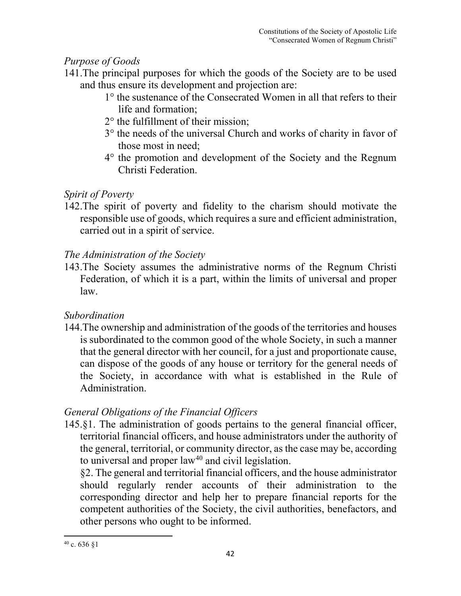## *Purpose of Goods*

- 141.The principal purposes for which the goods of the Society are to be used and thus ensure its development and projection are:
	- 1° the sustenance of the Consecrated Women in all that refers to their life and formation;
	- 2° the fulfillment of their mission;
	- 3° the needs of the universal Church and works of charity in favor of those most in need;
	- 4° the promotion and development of the Society and the Regnum Christi Federation.

## *Spirit of Poverty*

142.The spirit of poverty and fidelity to the charism should motivate the responsible use of goods, which requires a sure and efficient administration, carried out in a spirit of service.

## *The Administration of the Society*

143.The Society assumes the administrative norms of the Regnum Christi Federation, of which it is a part, within the limits of universal and proper law.

## *Subordination*

144.The ownership and administration of the goods of the territories and houses is subordinated to the common good of the whole Society, in such a manner that the general director with her council, for a just and proportionate cause, can dispose of the goods of any house or territory for the general needs of the Society, in accordance with what is established in the Rule of Administration.

## *General Obligations of the Financial Officers*

145.§1. The administration of goods pertains to the general financial officer, territorial financial officers, and house administrators under the authority of the general, territorial, or community director, as the case may be, according to universal and proper  $law<sup>40</sup>$  $law<sup>40</sup>$  $law<sup>40</sup>$  and civil legislation.

 §2. The general and territorial financial officers, and the house administrator should regularly render accounts of their administration to the corresponding director and help her to prepare financial reports for the competent authorities of the Society, the civil authorities, benefactors, and other persons who ought to be informed.

<span id="page-42-0"></span> $40$  c. 636 §1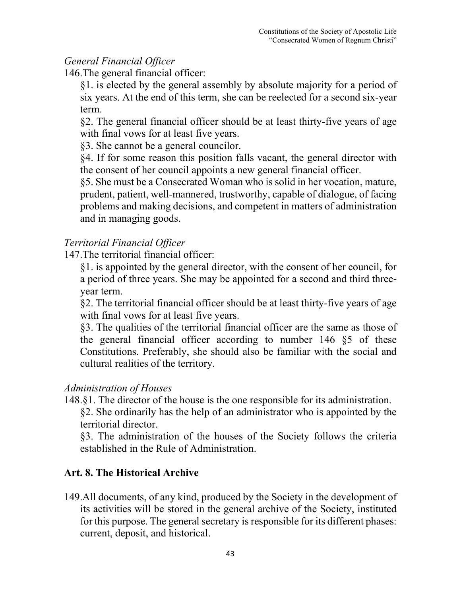## *General Financial Officer*

146.The general financial officer:

§1. is elected by the general assembly by absolute majority for a period of six years. At the end of this term, she can be reelected for a second six-year term.

§2. The general financial officer should be at least thirty-five years of age with final vows for at least five years.

§3. She cannot be a general councilor.

§4. If for some reason this position falls vacant, the general director with the consent of her council appoints a new general financial officer.

§5. She must be a Consecrated Woman who is solid in her vocation, mature, prudent, patient, well-mannered, trustworthy, capable of dialogue, of facing problems and making decisions, and competent in matters of administration and in managing goods.

## *Territorial Financial Officer*

147.The territorial financial officer:

§1. is appointed by the general director, with the consent of her council, for a period of three years. She may be appointed for a second and third threeyear term.

§2. The territorial financial officer should be at least thirty-five years of age with final vows for at least five years.

§3. The qualities of the territorial financial officer are the same as those of the general financial officer according to number 146 §5 of these Constitutions. Preferably, she should also be familiar with the social and cultural realities of the territory.

## *Administration of Houses*

148.§1. The director of the house is the one responsible for its administration. §2. She ordinarily has the help of an administrator who is appointed by the territorial director.

 §3. The administration of the houses of the Society follows the criteria established in the Rule of Administration.

## **Art. 8. The Historical Archive**

149.All documents, of any kind, produced by the Society in the development of its activities will be stored in the general archive of the Society, instituted for this purpose. The general secretary is responsible for its different phases: current, deposit, and historical.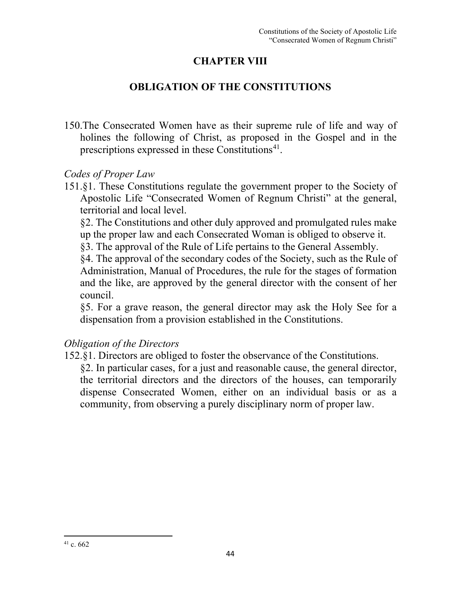## **CHAPTER VIII**

## **OBLIGATION OF THE CONSTITUTIONS**

150.The Consecrated Women have as their supreme rule of life and way of holines the following of Christ, as proposed in the Gospel and in the prescriptions expressed in these Constitutions<sup> $41$ </sup>.

#### *Codes of Proper Law*

151.§1. These Constitutions regulate the government proper to the Society of Apostolic Life "Consecrated Women of Regnum Christi" at the general, territorial and local level.

 §2. The Constitutions and other duly approved and promulgated rules make up the proper law and each Consecrated Woman is obliged to observe it.

§3. The approval of the Rule of Life pertains to the General Assembly.

 §4. The approval of the secondary codes of the Society, such as the Rule of Administration, Manual of Procedures, the rule for the stages of formation and the like, are approved by the general director with the consent of her council.

 §5. For a grave reason, the general director may ask the Holy See for a dispensation from a provision established in the Constitutions.

### *Obligation of the Directors*

152.§1. Directors are obliged to foster the observance of the Constitutions.

<span id="page-44-0"></span> §2. In particular cases, for a just and reasonable cause, the general director, the territorial directors and the directors of the houses, can temporarily dispense Consecrated Women, either on an individual basis or as a community, from observing a purely disciplinary norm of proper law.